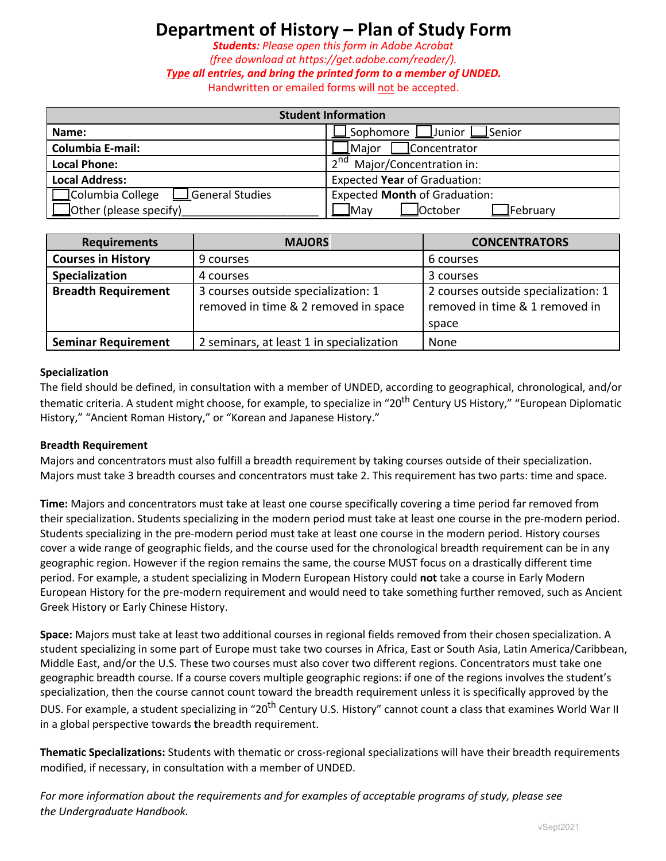# **Department of History – Plan of Study Form**

*Students: Please open this form in Adobe Acrobat*

*(free download at https://get.adobe.com/reader/).*

*Type all entries, and bring the printed form to a member of UNDED.*

Handwritten or emailed forms will not be accepted.

| <b>Student Information</b>           |                                         |  |  |  |
|--------------------------------------|-----------------------------------------|--|--|--|
| Name:                                | Sophomore  <br>Junior LSenior           |  |  |  |
| <b>Columbia E-mail:</b>              | Major<br>Concentrator                   |  |  |  |
| <b>Local Phone:</b>                  | $\lambda$ nd<br>Major/Concentration in: |  |  |  |
| <b>Local Address:</b>                | Expected Year of Graduation:            |  |  |  |
| Columbia College<br>∫General Studies | <b>Expected Month of Graduation:</b>    |  |  |  |
| $\Box$ Other (please specify)        | _October<br>⊿Mav<br>⊿February           |  |  |  |

| <b>Requirements</b>        | <b>MAJORS</b>                            | <b>CONCENTRATORS</b>                |  |
|----------------------------|------------------------------------------|-------------------------------------|--|
| <b>Courses in History</b>  | 9 courses                                | 6 courses                           |  |
| Specialization             | 4 courses                                | 3 courses                           |  |
| <b>Breadth Requirement</b> | 3 courses outside specialization: 1      | 2 courses outside specialization: 1 |  |
|                            | removed in time & 2 removed in space     | removed in time & 1 removed in      |  |
|                            |                                          | space                               |  |
| <b>Seminar Requirement</b> | 2 seminars, at least 1 in specialization | None                                |  |

#### **Specialization**

The field should be defined, in consultation with a member of UNDED, according to geographical, chronological, and/or thematic criteria. A student might choose, for example, to specialize in "20<sup>th</sup> Century US History," "European Diplomatic History," "Ancient Roman History," or "Korean and Japanese History."

#### **Breadth Requirement**

Majors and concentrators must also fulfill a breadth requirement by taking courses outside of their specialization. Majors must take 3 breadth courses and concentrators must take 2. This requirement has two parts: time and space.

**Time:** Majors and concentrators must take at least one course specifically covering a time period far removed from their specialization. Students specializing in the modern period must take at least one course in the pre-modern period. Students specializing in the pre-modern period must take at least one course in the modern period. History courses cover a wide range of geographic fields, and the course used for the chronological breadth requirement can be in any geographic region. However if the region remains the same, the course MUST focus on a drastically different time period. For example, a student specializing in Modern European History could **not** take a course in Early Modern European History for the pre-modern requirement and would need to take something further removed, such as Ancient Greek History or Early Chinese History.

**Space:** Majors must take at least two additional courses in regional fields removed from their chosen specialization. A student specializing in some part of Europe must take two courses in Africa, East or South Asia, Latin America/Caribbean, Middle East, and/or the U.S. These two courses must also cover two different regions. Concentrators must take one geographic breadth course. If a course covers multiple geographic regions: if one of the regions involves the student's specialization, then the course cannot count toward the breadth requirement unless it is specifically approved by the DUS. For example, a student specializing in "20<sup>th</sup> Century U.S. History" cannot count a class that examines World War II in a global perspective towards **t**he breadth requirement.

**Thematic Specializations:** Students with thematic or cross-regional specializations will have their breadth requirements modified, if necessary, in consultation with a member of UNDED.

*For more information about the requirements and for examples of acceptable programs of study, please see the Undergraduate Handbook.*